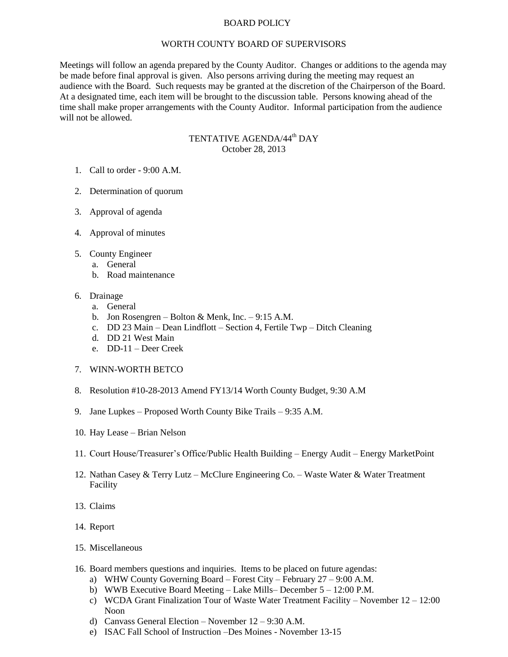## BOARD POLICY

## WORTH COUNTY BOARD OF SUPERVISORS

Meetings will follow an agenda prepared by the County Auditor. Changes or additions to the agenda may be made before final approval is given. Also persons arriving during the meeting may request an audience with the Board. Such requests may be granted at the discretion of the Chairperson of the Board. At a designated time, each item will be brought to the discussion table. Persons knowing ahead of the time shall make proper arrangements with the County Auditor. Informal participation from the audience will not be allowed.

## TENTATIVE AGENDA/44<sup>th</sup> DAY October 28, 2013

- 1. Call to order 9:00 A.M.
- 2. Determination of quorum
- 3. Approval of agenda
- 4. Approval of minutes
- 5. County Engineer
	- a. General
	- b. Road maintenance

## 6. Drainage

- a. General
- b. Jon Rosengren Bolton & Menk, Inc. 9:15 A.M.
- c. DD 23 Main Dean Lindflott Section 4, Fertile Twp Ditch Cleaning
- d. DD 21 West Main
- e. DD-11 Deer Creek
- 7. WINN-WORTH BETCO
- 8. Resolution #10-28-2013 Amend FY13/14 Worth County Budget, 9:30 A.M
- 9. Jane Lupkes Proposed Worth County Bike Trails 9:35 A.M.
- 10. Hay Lease Brian Nelson
- 11. Court House/Treasurer's Office/Public Health Building Energy Audit Energy MarketPoint
- 12. Nathan Casey & Terry Lutz McClure Engineering Co. Waste Water & Water Treatment Facility
- 13. Claims
- 14. Report
- 15. Miscellaneous
- 16. Board members questions and inquiries. Items to be placed on future agendas:
	- a) WHW County Governing Board Forest City February 27 9:00 A.M.
	- b) WWB Executive Board Meeting Lake Mills– December 5 12:00 P.M.
	- c) WCDA Grant Finalization Tour of Waste Water Treatment Facility November 12 12:00 Noon
	- d) Canvass General Election November 12 9:30 A.M.
	- e) ISAC Fall School of Instruction –Des Moines November 13-15